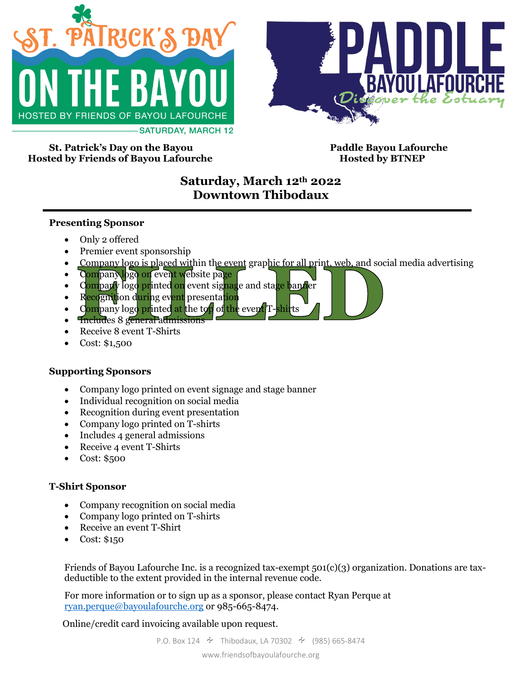



**St. Patrick's Day on the Bayou Paddle Bayou Lafourche Hosted by Friends of Bayou Lafourche Hosted by BTNEP** 

# **Saturday, March 12th 2022 Downtown Thibodaux**

#### **Presenting Sponsor**

- Only 2 offered
- Premier event sponsorship
- Company logo is placed within the event graphic for all print, web, and social media advertising
- Company logo on event website page
- Company logo printed on event signage and stage bander
- Recognition during event presentation
- Company logo printed at the top of the event  $T$ -shirts
- Includes 8 general admissions
- Receive 8 event T-Shirts
- Cost: \$1,500

### **Supporting Sponsors**

- Company logo printed on event signage and stage banner
- Individual recognition on social media
- Recognition during event presentation
- Company logo printed on T-shirts
- Includes 4 general admissions
- Receive 4 event T-Shirts
- Cost: \$500

### **T-Shirt Sponsor**

- Company recognition on social media
- Company logo printed on T-shirts
- Receive an event T-Shirt
- Cost: \$150

Friends of Bayou Lafourche Inc. is a recognized tax-exempt  $501(c)(3)$  organization. Donations are taxdeductible to the extent provided in the internal revenue code.

For more information or to sign up as a sponsor, please contact Ryan Perque at [ryan.perque@bayoulafourche.org](mailto:ryan.perque@bayoulafourche.org) or 985-665-8474.

Online/credit card invoicing available upon request.